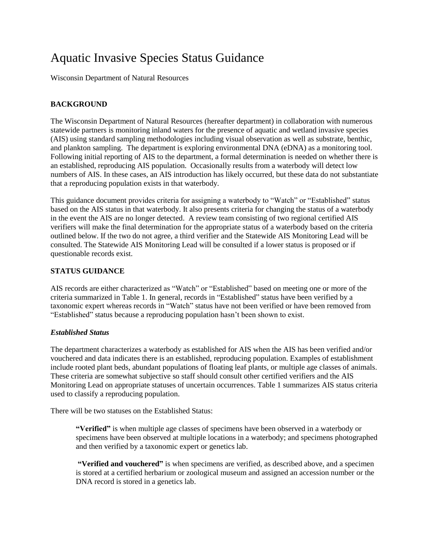# Aquatic Invasive Species Status Guidance

Wisconsin Department of Natural Resources

## **BACKGROUND**

The Wisconsin Department of Natural Resources (hereafter department) in collaboration with numerous statewide partners is monitoring inland waters for the presence of aquatic and wetland invasive species (AIS) using standard sampling methodologies including visual observation as well as substrate, benthic, and plankton sampling. The department is exploring environmental DNA (eDNA) as a monitoring tool. Following initial reporting of AIS to the department, a formal determination is needed on whether there is an established, reproducing AIS population. Occasionally results from a waterbody will detect low numbers of AIS. In these cases, an AIS introduction has likely occurred, but these data do not substantiate that a reproducing population exists in that waterbody.

This guidance document provides criteria for assigning a waterbody to "Watch" or "Established" status based on the AIS status in that waterbody. It also presents criteria for changing the status of a waterbody in the event the AIS are no longer detected. A review team consisting of two regional certified AIS verifiers will make the final determination for the appropriate status of a waterbody based on the criteria outlined below. If the two do not agree, a third verifier and the Statewide AIS Monitoring Lead will be consulted. The Statewide AIS Monitoring Lead will be consulted if a lower status is proposed or if questionable records exist.

## **STATUS GUIDANCE**

AIS records are either characterized as "Watch" or "Established" based on meeting one or more of the criteria summarized in Table 1. In general, records in "Established" status have been verified by a taxonomic expert whereas records in "Watch" status have not been verified or have been removed from "Established" status because a reproducing population hasn't been shown to exist.

### *Established Status*

The department characterizes a waterbody as established for AIS when the AIS has been verified and/or vouchered and data indicates there is an established, reproducing population. Examples of establishment include rooted plant beds, abundant populations of floating leaf plants, or multiple age classes of animals. These criteria are somewhat subjective so staff should consult other certified verifiers and the AIS Monitoring Lead on appropriate statuses of uncertain occurrences. Table 1 summarizes AIS status criteria used to classify a reproducing population.

There will be two statuses on the Established Status:

**"Verified"** is when multiple age classes of specimens have been observed in a waterbody or specimens have been observed at multiple locations in a waterbody; and specimens photographed and then verified by a taxonomic expert or genetics lab.

**"Verified and vouchered"** is when specimens are verified, as described above, and a specimen is stored at a certified herbarium or zoological museum and assigned an accession number or the DNA record is stored in a genetics lab.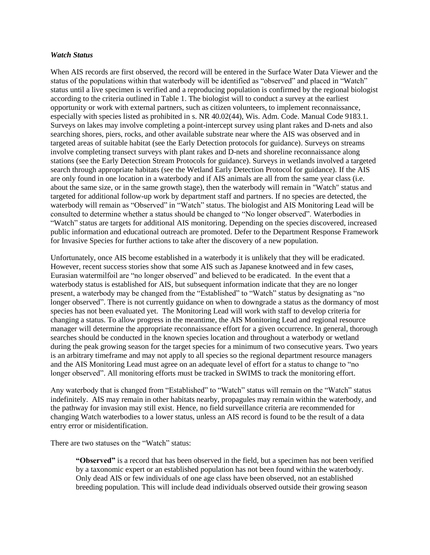#### *Watch Status*

When AIS records are first observed, the record will be entered in the Surface Water Data Viewer and the status of the populations within that waterbody will be identified as "observed" and placed in "Watch" status until a live specimen is verified and a reproducing population is confirmed by the regional biologist according to the criteria outlined in Table 1. The biologist will to conduct a survey at the earliest opportunity or work with external partners, such as citizen volunteers, to implement reconnaissance, especially with species listed as prohibited in s. NR 40.02(44), Wis. Adm. Code. Manual Code 9183.1. Surveys on lakes may involve completing a point-intercept survey using plant rakes and D-nets and also searching shores, piers, rocks, and other available substrate near where the AIS was observed and in targeted areas of suitable habitat (see the Early Detection protocols for guidance). Surveys on streams involve completing transect surveys with plant rakes and D-nets and shoreline reconnaissance along stations (see the Early Detection Stream Protocols for guidance). Surveys in wetlands involved a targeted search through appropriate habitats (see the Wetland Early Detection Protocol for guidance). If the AIS are only found in one location in a waterbody and if AIS animals are all from the same year class (i.e. about the same size, or in the same growth stage), then the waterbody will remain in "Watch" status and targeted for additional follow-up work by department staff and partners. If no species are detected, the waterbody will remain as "Observed" in "Watch" status. The biologist and AIS Monitoring Lead will be consulted to determine whether a status should be changed to "No longer observed". Waterbodies in "Watch" status are targets for additional AIS monitoring. Depending on the species discovered, increased public information and educational outreach are promoted. Defer to the Department Response Framework for Invasive Species for further actions to take after the discovery of a new population.

Unfortunately, once AIS become established in a waterbody it is unlikely that they will be eradicated. However, recent success stories show that some AIS such as Japanese knotweed and in few cases, Eurasian watermilfoil are "no longer observed" and believed to be eradicated. In the event that a waterbody status is established for AIS, but subsequent information indicate that they are no longer present, a waterbody may be changed from the "Established" to "Watch" status by designating as "no longer observed". There is not currently guidance on when to downgrade a status as the dormancy of most species has not been evaluated yet. The Monitoring Lead will work with staff to develop criteria for changing a status. To allow progress in the meantime, the AIS Monitoring Lead and regional resource manager will determine the appropriate reconnaissance effort for a given occurrence. In general, thorough searches should be conducted in the known species location and throughout a waterbody or wetland during the peak growing season for the target species for a minimum of two consecutive years. Two years is an arbitrary timeframe and may not apply to all species so the regional department resource managers and the AIS Monitoring Lead must agree on an adequate level of effort for a status to change to "no longer observed". All monitoring efforts must be tracked in SWIMS to track the monitoring effort.

Any waterbody that is changed from "Established" to "Watch" status will remain on the "Watch" status indefinitely. AIS may remain in other habitats nearby, propagules may remain within the waterbody, and the pathway for invasion may still exist. Hence, no field surveillance criteria are recommended for changing Watch waterbodies to a lower status, unless an AIS record is found to be the result of a data entry error or misidentification.

There are two statuses on the "Watch" status:

**"Observed"** is a record that has been observed in the field, but a specimen has not been verified by a taxonomic expert or an established population has not been found within the waterbody. Only dead AIS or few individuals of one age class have been observed, not an established breeding population. This will include dead individuals observed outside their growing season